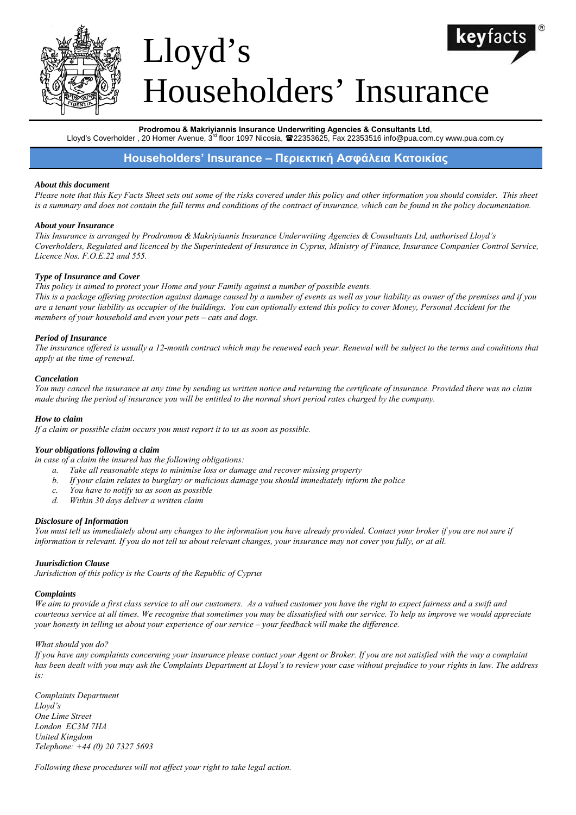

# Lloyd's Householders' Insurance

#### **Prodromou & Makriyiannis Insurance Underwriting Agencies & Consultants Ltd**,

Lloyd's Coverholder, 20 Homer Avenue, 3<sup>rd</sup> floor 1097 Nicosia, <sup>22</sup>22353625, Fax 22353516 info@pua.com.cy www.pua.com.cy

# **Householders' Insurance – Περιεκτική Ασφάλεια Κατοικίας**

#### *About this document*

*Please note that this Key Facts Sheet sets out some of the risks covered under this policy and other information you should consider. This sheet is a summary and does not contain the full terms and conditions of the contract of insurance, which can be found in the policy documentation.* 

#### *About your Insurance*

*This Insurance is arranged by Prodromou & Makriyiannis Insurance Underwriting Agencies & Consultants Ltd, authorised Lloyd's Coverholders, Regulated and licenced by the Superintedent of Insurance in Cyprus, Ministry of Finance, Insurance Companies Control Service, Licence Nos. F.O.E.22 and 555.* 

#### *Type of Insurance and Cover*

#### *This policy is aimed to protect your Home and your Family against a number of possible events.*

*This is a package offering protection against damage caused by a number of events as well as your liability as owner of the premises and if you are a tenant your liability as occupier of the buildings. You can optionally extend this policy to cover Money, Personal Accident for the members of your household and even your pets – cats and dogs.* 

#### *Period of Insurance*

*The insurance offered is usually a 12-month contract which may be renewed each year. Renewal will be subject to the terms and conditions that apply at the time of renewal.* 

#### *Cancelation*

*You may cancel the insurance at any time by sending us written notice and returning the certificate of insurance. Provided there was no claim made during the period of insurance you will be entitled to the normal short period rates charged by the company.* 

#### *How to claim*

*If a claim or possible claim occurs you must report it to us as soon as possible.* 

#### *Your obligations following a claim*

*in case of a claim the insured has the following obligations:* 

- *a. Take all reasonable steps to minimise loss or damage and recover missing property*
- *b. If your claim relates to burglary or malicious damage you should immediately inform the police*
- *c. You have to notify us as soon as possible*
- *d. Within 30 days deliver a written claim*

#### *Disclosure of Information*

You must tell us immediately about any changes to the information you have already provided. Contact your broker if you are not sure if *information is relevant. If you do not tell us about relevant changes, your insurance may not cover you fully, or at all.* 

#### *Juurisdiction Clause*

*Jurisdiction of this policy is the Courts of the Republic of Cyprus* 

#### *Complaints*

*We aim to provide a first class service to all our customers. As a valued customer you have the right to expect fairness and a swift and courteous service at all times. We recognise that sometimes you may be dissatisfied with our service. To help us improve we would appreciate your honesty in telling us about your experience of our service – your feedback will make the difference.* 

#### *What should you do?*

*If you have any complaints concerning your insurance please contact your Agent or Broker. If you are not satisfied with the way a complaint has been dealt with you may ask the Complaints Department at Lloyd's to review your case without prejudice to your rights in law. The address is:* 

*Complaints Department Lloyd's One Lime Street London EC3M 7HA United Kingdom Telephone: +44 (0) 20 7327 5693* 

*Following these procedures will not affect your right to take legal action.*